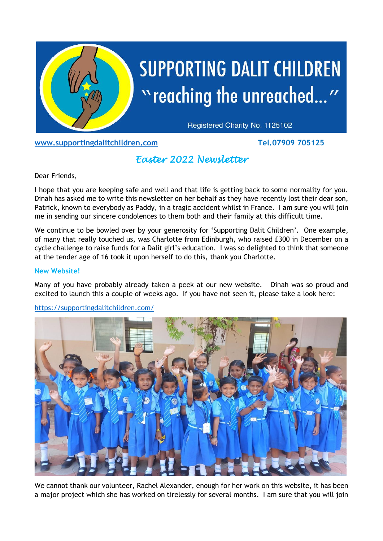

# **SUPPORTING DALIT CHILDREN** "reaching the unreached..."

Registered Charity No. 1125102

**[www.supportingdalitchildren.com](about:blank) Tel.07909 705125**

## *Easter 2022 Newsletter*

Dear Friends,

I hope that you are keeping safe and well and that life is getting back to some normality for you. Dinah has asked me to write this newsletter on her behalf as they have recently lost their dear son, Patrick, known to everybody as Paddy, in a tragic accident whilst in France. I am sure you will join me in sending our sincere condolences to them both and their family at this difficult time.

We continue to be bowled over by your generosity for 'Supporting Dalit Children'. One example, of many that really touched us, was Charlotte from Edinburgh, who raised £300 in December on a cycle challenge to raise funds for a Dalit girl's education. I was so delighted to think that someone at the tender age of 16 took it upon herself to do this, thank you Charlotte.

### **New Website!**

Many of you have probably already taken a peek at our new website. Dinah was so proud and excited to launch this a couple of weeks ago. If you have not seen it, please take a look here:

### [https://supportingdalitchildren.com/](about:blank)



We cannot thank our volunteer, Rachel Alexander, enough for her work on this website, it has been a major project which she has worked on tirelessly for several months. I am sure that you will join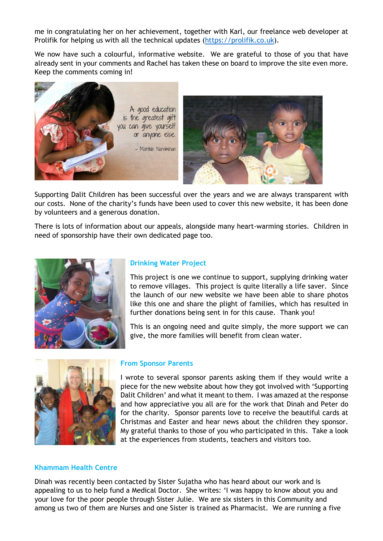me in congratulating her on her achievement, together with Karl, our freelance web developer at Prolifik for helping us with all the technical updates [\(https://prolifik.co.uk\)](https://prolifik.co.uk/).

We now have such a colourful, informative website. We are grateful to those of you that have already sent in your comments and Rachel has taken these on board to improve the site even more. Keep the comments coming in!



Supporting Dalit Children has been successful over the years and we are always transparent with our costs. None of the charity's funds have been used to cover this new website, it has been done by volunteers and a generous donation.

There is lots of information about our appeals, alongside many heart-warming stories. Children in need of sponsorship have their own dedicated page too.



#### **Drinking Water Project**

This project is one we continue to support, supplying drinking water to remove villages. This project is quite literally a life saver. Since the launch of our new website we have been able to share photos like this one and share the plight of families, which has resulted in further donations being sent in for this cause. Thank you!

This is an ongoing need and quite simply, the more support we can give, the more families will benefit from clean water.



#### **From Sponsor Parents**

I wrote to several sponsor parents asking them if they would write a piece for the new website about how they got involved with 'Supporting Dalit Children' and what it meant to them. I was amazed at the response and how appreciative you all are for the work that Dinah and Peter do for the charity. Sponsor parents love to receive the beautiful cards at Christmas and Easter and hear news about the children they sponsor. My grateful thanks to those of you who participated in this. Take a look at the experiences from students, teachers and visitors too.

#### **Khammam Health Centre**

Dinah was recently been contacted by Sister Sujatha who has heard about our work and is appealing to us to help fund a Medical Doctor. She writes: 'I was happy to know about you and your love for the poor people through Sister Julie. We are six sisters in this Community and among us two of them are Nurses and one Sister is trained as Pharmacist. We are running a five